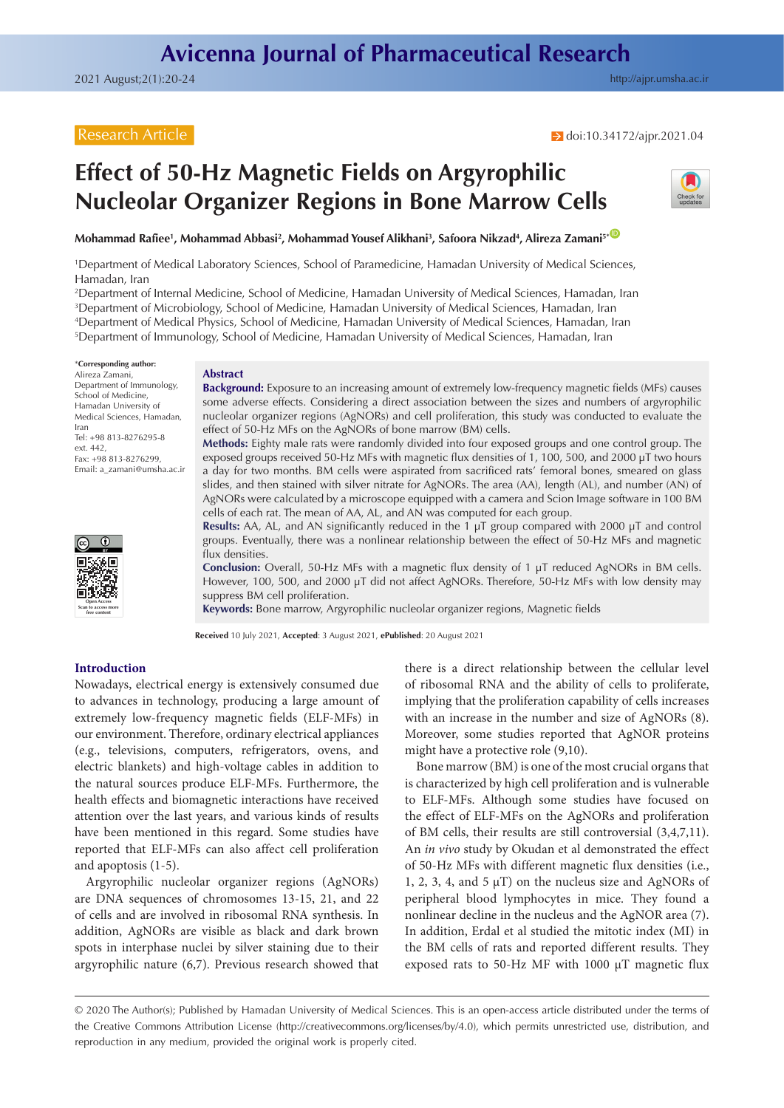# Research Article

# **Effect of 50-Hz Magnetic Fields on Argyrophilic Nucleolar Organizer Regions in Bone Marrow Cells**



**Mohammad Rafiee1 , Mohammad Abbasi2 , Mohammad Yousef Alikhani3 , Safoora Nikzad4 , Alireza Zamani5\*** [ID](https://orcid.org/0000-0001-6146-6013)

1 Department of Medical Laboratory Sciences, School of Paramedicine, Hamadan University of Medical Sciences, Hamadan, Iran

2 Department of Internal Medicine, School of Medicine, Hamadan University of Medical Sciences, Hamadan, Iran 3 Department of Microbiology, School of Medicine, Hamadan University of Medical Sciences, Hamadan, Iran 4 Department of Medical Physics, School of Medicine, Hamadan University of Medical Sciences, Hamadan, Iran

5 Department of Immunology, School of Medicine, Hamadan University of Medical Sciences, Hamadan, Iran

\***Corresponding author:** Alireza Zamani, Department of Immunology, School of Medicine, Hamadan University of Medical Sciences, Hamadan, Iran Tel: +98 813-8276295-8 ext. 442, Fax: +98 813-8276299, Email: a\_zamani@umsha.ac.ir

#### **Abstract**

**Background:** Exposure to an increasing amount of extremely low-frequency magnetic fields (MFs) causes some adverse effects. Considering a direct association between the sizes and numbers of argyrophilic nucleolar organizer regions (AgNORs) and cell proliferation, this study was conducted to evaluate the effect of 50-Hz MFs on the AgNORs of bone marrow (BM) cells.

**Methods:** Eighty male rats were randomly divided into four exposed groups and one control group. The exposed groups received 50-Hz MFs with magnetic flux densities of 1, 100, 500, and 2000 µT two hours a day for two months. BM cells were aspirated from sacrificed rats' femoral bones, smeared on glass slides, and then stained with silver nitrate for AgNORs. The area (AA), length (AL), and number (AN) of AgNORs were calculated by a microscope equipped with a camera and Scion Image software in 100 BM cells of each rat. The mean of AA, AL, and AN was computed for each group.

**Results:** AA, AL, and AN significantly reduced in the 1 µT group compared with 2000 µT and control groups. Eventually, there was a nonlinear relationship between the effect of 50-Hz MFs and magnetic flux densities.

**Conclusion:** Overall, 50-Hz MFs with a magnetic flux density of 1 µT reduced AgNORs in BM cells. However, 100, 500, and 2000 µT did not affect AgNORs. Therefore, 50-Hz MFs with low density may suppress BM cell proliferation.

**Keywords:** Bone marrow, Argyrophilic nucleolar organizer regions, Magnetic fields

**Received** 10 July 2021, **Accepted**: 3 August 2021, **ePublished**: 20 August 2021

# **Introduction**

**Open Access Scan to access more free content**

Nowadays, electrical energy is extensively consumed due to advances in technology, producing a large amount of extremely low-frequency magnetic fields (ELF-MFs) in our environment. Therefore, ordinary electrical appliances (e.g., televisions, computers, refrigerators, ovens, and electric blankets) and high-voltage cables in addition to the natural sources produce ELF-MFs. Furthermore, the health effects and biomagnetic interactions have received attention over the last years, and various kinds of results have been mentioned in this regard. Some studies have reported that ELF-MFs can also affect cell proliferation and apoptosis (1-5).

Argyrophilic nucleolar organizer regions (AgNORs) are DNA sequences of chromosomes 13-15, 21, and 22 of cells and are involved in ribosomal RNA synthesis. In addition, AgNORs are visible as black and dark brown spots in interphase nuclei by silver staining due to their argyrophilic nature (6,7). Previous research showed that there is a direct relationship between the cellular level of ribosomal RNA and the ability of cells to proliferate, implying that the proliferation capability of cells increases with an increase in the number and size of AgNORs (8). Moreover, some studies reported that AgNOR proteins might have a protective role (9,10).

Bone marrow (BM) is one of the most crucial organs that is characterized by high cell proliferation and is vulnerable to ELF-MFs. Although some studies have focused on the effect of ELF-MFs on the AgNORs and proliferation of BM cells, their results are still controversial (3,4,7,11). An *in vivo* study by Okudan et al demonstrated the effect of 50-Hz MFs with different magnetic flux densities (i.e., 1, 2, 3, 4, and 5  $\mu$ T) on the nucleus size and AgNORs of peripheral blood lymphocytes in mice. They found a nonlinear decline in the nucleus and the AgNOR area (7). In addition, Erdal et al studied the mitotic index (MI) in the BM cells of rats and reported different results. They exposed rats to 50-Hz MF with 1000 μT magnetic flux

<sup>© 2020</sup> The Author(s); Published by Hamadan University of Medical Sciences. This is an open-access article distributed under the terms of the Creative Commons Attribution License [\(http://creativecommons.org/licenses/by/4.0](http://creativecommons.org/licenses/by/4.0)), which permits unrestricted use, distribution, and reproduction in any medium, provided the original work is properly cited.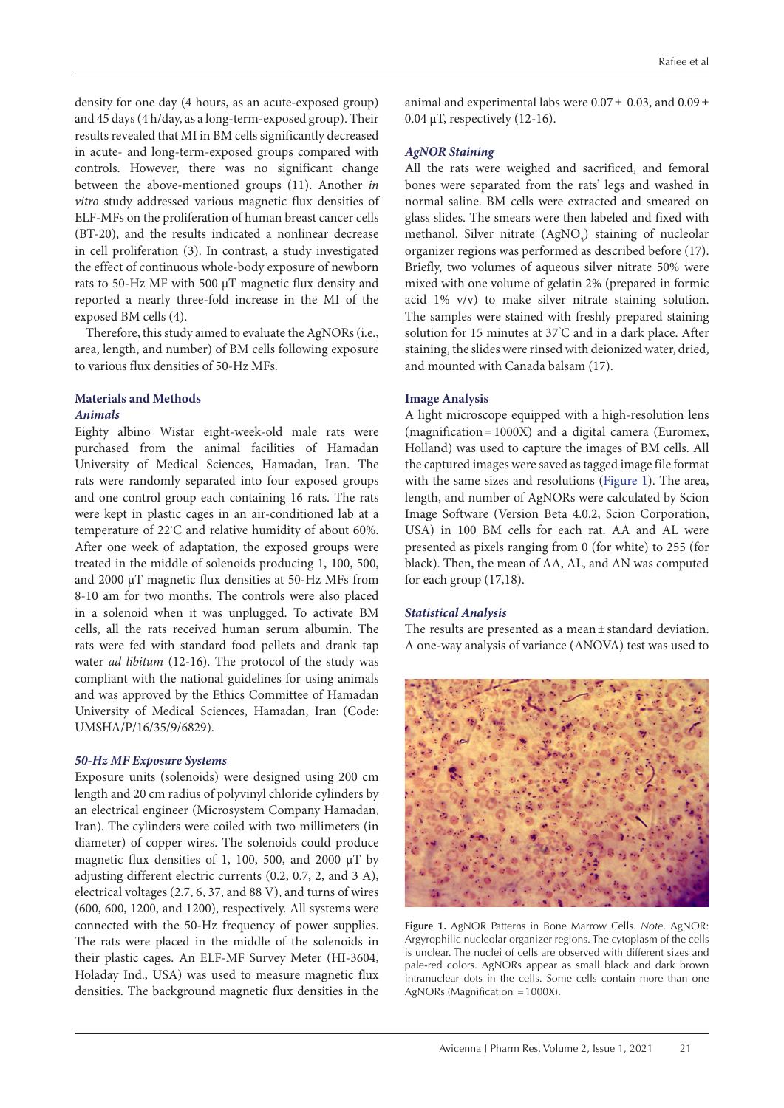density for one day (4 hours, as an acute-exposed group) and 45 days (4 h/day, as a long-term-exposed group). Their results revealed that MI in BM cells significantly decreased in acute- and long-term-exposed groups compared with controls. However, there was no significant change between the above-mentioned groups (11). Another *in vitro* study addressed various magnetic flux densities of ELF-MFs on the proliferation of human breast cancer cells (BT-20), and the results indicated a nonlinear decrease in cell proliferation (3). In contrast, a study investigated the effect of continuous whole-body exposure of newborn rats to 50-Hz MF with 500 μT magnetic flux density and reported a nearly three-fold increase in the MI of the exposed BM cells (4).

Therefore, this study aimed to evaluate the AgNORs (i.e., area, length, and number) of BM cells following exposure to various flux densities of 50-Hz MFs.

# **Materials and Methods**

# *Animals*

Eighty albino Wistar eight-week-old male rats were purchased from the animal facilities of Hamadan University of Medical Sciences, Hamadan, Iran. The rats were randomly separated into four exposed groups and one control group each containing 16 rats. The rats were kept in plastic cages in an air-conditioned lab at a temperature of 22℃ and relative humidity of about 60%. After one week of adaptation, the exposed groups were treated in the middle of solenoids producing 1, 100, 500, and 2000 µT magnetic flux densities at 50-Hz MFs from 8-10 am for two months. The controls were also placed in a solenoid when it was unplugged. To activate BM cells, all the rats received human serum albumin. The rats were fed with standard food pellets and drank tap water *ad libitum* (12-16). The protocol of the study was compliant with the national guidelines for using animals and was approved by the Ethics Committee of Hamadan University of Medical Sciences, Hamadan, Iran (Code: UMSHA/P/16/35/9/6829).

## *50-Hz MF Exposure Systems*

Exposure units (solenoids) were designed using 200 cm length and 20 cm radius of polyvinyl chloride cylinders by an electrical engineer (Microsystem Company Hamadan, Iran). The cylinders were coiled with two millimeters (in diameter) of copper wires. The solenoids could produce magnetic flux densities of 1, 100, 500, and 2000  $\mu$ T by adjusting different electric currents (0.2, 0.7, 2, and 3 A), electrical voltages (2.7, 6, 37, and 88 V), and turns of wires (600, 600, 1200, and 1200), respectively. All systems were connected with the 50-Hz frequency of power supplies. The rats were placed in the middle of the solenoids in their plastic cages. An ELF-MF Survey Meter (HI-3604, Holaday Ind., USA) was used to measure magnetic flux densities. The background magnetic flux densities in the

animal and experimental labs were  $0.07 \pm 0.03$ , and  $0.09 \pm$ 0.04 µT, respectively (12-16).

# *AgNOR Staining*

All the rats were weighed and sacrificed, and femoral bones were separated from the rats' legs and washed in normal saline. BM cells were extracted and smeared on glass slides. The smears were then labeled and fixed with methanol. Silver nitrate  $(AgNO<sub>3</sub>)$  staining of nucleolar organizer regions was performed as described before (17). Briefly, two volumes of aqueous silver nitrate 50% were mixed with one volume of gelatin 2% (prepared in formic acid 1% v/v) to make silver nitrate staining solution. The samples were stained with freshly prepared staining solution for 15 minutes at 37° С and in a dark place. After staining, the slides were rinsed with deionized water, dried, and mounted with Canada balsam (17).

# **Image Analysis**

A light microscope equipped with a high-resolution lens (magnification=1000X) and a digital camera (Euromex, Holland) was used to capture the images of BM cells. All the captured images were saved as tagged image file format with the same sizes and resolutions [\(Figure 1\)](#page-1-0). The area, length, and number of AgNORs were calculated by Scion Image Software (Version Beta 4.0.2, Scion Corporation, USA) in 100 BM cells for each rat. AA and AL were presented as pixels ranging from 0 (for white) to 255 (for black). Then, the mean of AA, AL, and AN was computed for each group (17,18).

### *Statistical Analysis*

The results are presented as a mean ± standard deviation. A one-way analysis of variance (ANOVA) test was used to

<span id="page-1-0"></span>

**Figure 1.** AgNOR Patterns in Bone Marrow Cells. *Note*. AgNOR: Argyrophilic nucleolar organizer regions. The cytoplasm of the cells is unclear. The nuclei of cells are observed with different sizes and pale-red colors. AgNORs appear as small black and dark brown intranuclear dots in the cells. Some cells contain more than one AgNORs (Magnification =1000X).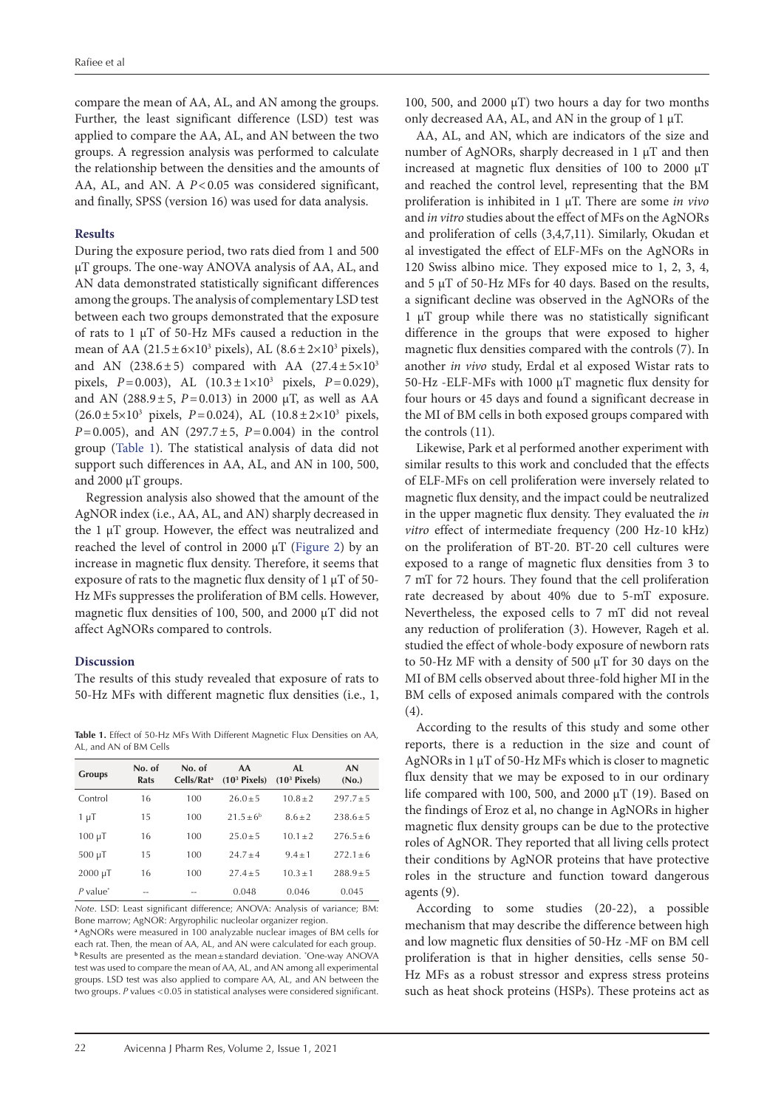compare the mean of AA, AL, and AN among the groups. Further, the least significant difference (LSD) test was applied to compare the AA, AL, and AN between the two groups. A regression analysis was performed to calculate the relationship between the densities and the amounts of AA, AL, and AN. A  $P < 0.05$  was considered significant, and finally, SPSS (version 16) was used for data analysis.

#### **Results**

During the exposure period, two rats died from 1 and 500 µT groups. The one-way ANOVA analysis of AA, AL, and AN data demonstrated statistically significant differences among the groups. The analysis of complementary LSD test between each two groups demonstrated that the exposure of rats to 1 µT of 50-Hz MFs caused a reduction in the mean of AA (21.5 $\pm$ 6×10<sup>3</sup> pixels), AL (8.6 $\pm$ 2×10<sup>3</sup> pixels), and AN (238.6 $\pm$ 5) compared with AA (27.4 $\pm$ 5 $\times$ 10<sup>3</sup> pixels, *P*=0.003), AL (10.3±1×103 pixels, *P*=0.029), and AN (288.9 $\pm$ 5, *P*=0.013) in 2000  $\mu$ T, as well as AA  $(26.0 \pm 5 \times 10^3 \text{ pixels}, P = 0.024)$ , AL  $(10.8 \pm 2 \times 10^3 \text{ pixels}, P = 0.024)$ *P*=0.005), and AN (297.7±5, *P*=0.004) in the control group ([Table 1](#page-2-0)). The statistical analysis of data did not support such differences in AA, AL, and AN in 100, 500, and 2000 µT groups.

Regression analysis also showed that the amount of the AgNOR index (i.e., AA, AL, and AN) sharply decreased in the 1 μT group. However, the effect was neutralized and reached the level of control in 2000 μT [\(Figure 2](#page-3-0)) by an increase in magnetic flux density. Therefore, it seems that exposure of rats to the magnetic flux density of  $1 \mu$ T of 50-Hz MFs suppresses the proliferation of BM cells. However, magnetic flux densities of 100, 500, and 2000 µT did not affect AgNORs compared to controls.

### **Discussion**

The results of this study revealed that exposure of rats to 50-Hz MFs with different magnetic flux densities (i.e., 1,

<span id="page-2-0"></span>**Table 1.** Effect of 50-Hz MFs With Different Magnetic Flux Densities on AA, AL, and AN of BM Cells

| <b>Groups</b>          | No. of<br>Rats | No. of<br>Cells/Rat <sup>a</sup> | AA<br>$(103$ Pixels) | AL.<br>$(103$ Pixels) | AN<br>(N <sub>0</sub> ) |
|------------------------|----------------|----------------------------------|----------------------|-----------------------|-------------------------|
| Control                | 16             | 100                              | $26.0 + 5$           | $10.8 + 2$            | $297.7 + 5$             |
| 1 μΤ                   | 15             | 100                              | $21.5+6^b$           | $8.6 + 2$             | $238.6 + 5$             |
| $100 \mu T$            | 16             | 100                              | $25.0 + 5$           | $10.1 + 2$            | $276.5 + 6$             |
| $500 \mu T$            | 15             | 100                              | $247+4$              | $9.4 + 1$             | $272.1 + 6$             |
| $2000 \mu T$           | 16             | 100                              | $27.4 + 5$           | $10.3 + 1$            | $288.9 + 5$             |
| $P$ value <sup>*</sup> |                |                                  | 0.048                | 0.046                 | 0.045                   |

*Note*. LSD: Least significant difference; ANOVA: Analysis of variance; BM: Bone marrow; AgNOR: Argyrophilic nucleolar organizer region.

**<sup>a</sup>**AgNORs were measured in 100 analyzable nuclear images of BM cells for each rat. Then, the mean of AA, AL, and AN were calculated for each group. **b** Results are presented as the mean±standard deviation. \*One-way ANOVA test was used to compare the mean of AA, AL, and AN among all experimental groups. LSD test was also applied to compare AA, AL, and AN between the two groups. *P* values <0.05 in statistical analyses were considered significant.

100, 500, and 2000  $\mu$ T) two hours a day for two months only decreased AA, AL, and AN in the group of 1 µT.

AA, AL, and AN, which are indicators of the size and number of AgNORs, sharply decreased in 1 µT and then increased at magnetic flux densities of 100 to 2000 µT and reached the control level, representing that the BM proliferation is inhibited in 1 µT. There are some *in vivo* and *in vitro* studies about the effect of MFs on the AgNORs and proliferation of cells (3,4,7,11). Similarly, Okudan et al investigated the effect of ELF-MFs on the AgNORs in 120 Swiss albino mice. They exposed mice to 1, 2, 3, 4, and 5 μT of 50-Hz MFs for 40 days. Based on the results, a significant decline was observed in the AgNORs of the 1 μT group while there was no statistically significant difference in the groups that were exposed to higher magnetic flux densities compared with the controls (7). In another *in vivo* study, Erdal et al exposed Wistar rats to 50-Hz -ELF-MFs with 1000 μT magnetic flux density for four hours or 45 days and found a significant decrease in the MI of BM cells in both exposed groups compared with the controls (11).

Likewise, Park et al performed another experiment with similar results to this work and concluded that the effects of ELF-MFs on cell proliferation were inversely related to magnetic flux density, and the impact could be neutralized in the upper magnetic flux density. They evaluated the *in vitro* effect of intermediate frequency (200 Hz-10 kHz) on the proliferation of BT-20. BT-20 cell cultures were exposed to a range of magnetic flux densities from 3 to 7 mT for 72 hours. They found that the cell proliferation rate decreased by about 40% due to 5-mT exposure. Nevertheless, the exposed cells to 7 mT did not reveal any reduction of proliferation (3). However, Rageh et al. studied the effect of whole-body exposure of newborn rats to 50-Hz MF with a density of 500 μT for 30 days on the MI of BM cells observed about three-fold higher MI in the BM cells of exposed animals compared with the controls (4).

According to the results of this study and some other reports, there is a reduction in the size and count of AgNORs in 1 μT of 50-Hz MFs which is closer to magnetic flux density that we may be exposed to in our ordinary life compared with 100, 500, and 2000  $\mu$ T (19). Based on the findings of Eroz et al, no change in AgNORs in higher magnetic flux density groups can be due to the protective roles of AgNOR. They reported that all living cells protect their conditions by AgNOR proteins that have protective roles in the structure and function toward dangerous agents (9).

According to some studies (20-22), a possible mechanism that may describe the difference between high and low magnetic flux densities of 50-Hz -MF on BM cell proliferation is that in higher densities, cells sense 50- Hz MFs as a robust stressor and express stress proteins such as heat shock proteins (HSPs). These proteins act as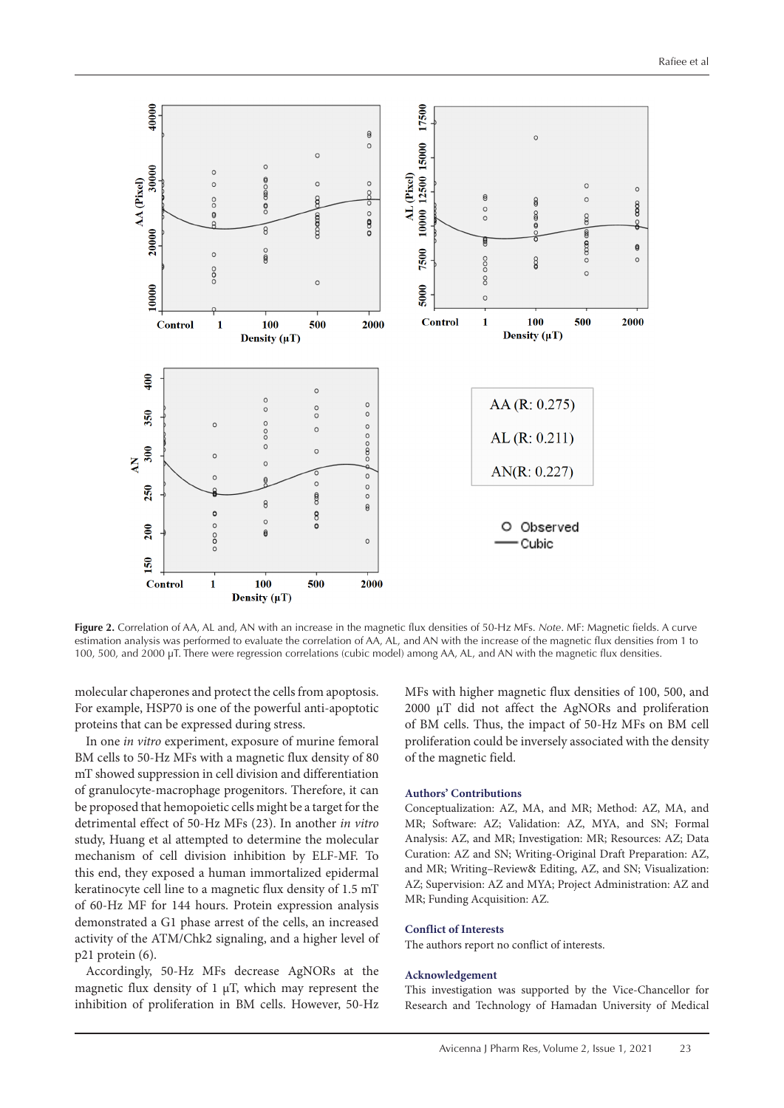<span id="page-3-0"></span>

**Figure 2.** Correlation of AA, AL and, AN with an increase in the magnetic flux densities of 50-Hz MFs. *Note*. MF: Magnetic fields. A curve estimation analysis was performed to evaluate the correlation of AA, AL, and AN with the increase of the magnetic flux densities from 1 to 100, 500, and 2000 μT. There were regression correlations (cubic model) among AA, AL, and AN with the magnetic flux densities.

molecular chaperones and protect the cells from apoptosis. For example, HSP70 is one of the powerful anti-apoptotic proteins that can be expressed during stress.

In one *in vitro* experiment, exposure of murine femoral BM cells to 50-Hz MFs with a magnetic flux density of 80 mT showed suppression in cell division and differentiation of granulocyte-macrophage progenitors. Therefore, it can be proposed that hemopoietic cells might be a target for the detrimental effect of 50-Hz MFs (23). In another *in vitro* study, Huang et al attempted to determine the molecular mechanism of cell division inhibition by ELF-MF. To this end, they exposed a human immortalized epidermal keratinocyte cell line to a magnetic flux density of 1.5 mT of 60-Hz MF for 144 hours. Protein expression analysis demonstrated a G1 phase arrest of the cells, an increased activity of the ATM/Chk2 signaling, and a higher level of p21 protein (6).

Accordingly, 50-Hz MFs decrease AgNORs at the magnetic flux density of  $1 \mu$ T, which may represent the inhibition of proliferation in BM cells. However, 50-Hz

MFs with higher magnetic flux densities of 100, 500, and 2000 µT did not affect the AgNORs and proliferation of BM cells. Thus, the impact of 50-Hz MFs on BM cell proliferation could be inversely associated with the density of the magnetic field.

#### **Authors' Contributions**

Conceptualization: AZ, MA, and MR; Method: AZ, MA, and MR; Software: AZ; Validation: AZ, MYA, and SN; Formal Analysis: AZ, and MR; Investigation: MR; Resources: AZ; Data Curation: AZ and SN; Writing-Original Draft Preparation: AZ, and MR; Writing–Review& Editing, AZ, and SN; Visualization: AZ; Supervision: AZ and MYA; Project Administration: AZ and MR; Funding Acquisition: AZ.

#### **Conflict of Interests**

The authors report no conflict of interests.

#### **Acknowledgement**

This investigation was supported by the Vice-Chancellor for Research and Technology of Hamadan University of Medical